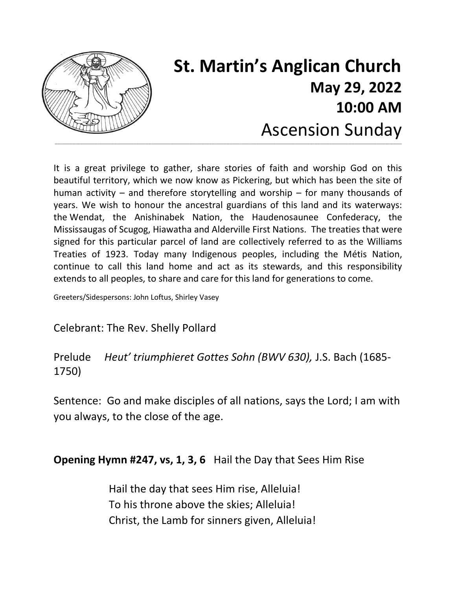

# **St. Martin's Anglican Church May 29, 2022 10:00 AM** Ascension Sunday

It is a great privilege to gather, share stories of faith and worship God on this beautiful territory, which we now know as Pickering, but which has been the site of human activity – and therefore storytelling and worship – for many thousands of years. We wish to honour the ancestral guardians of this land and its waterways: the Wendat, the Anishinabek Nation, the Haudenosaunee Confederacy, the Mississaugas of Scugog, Hiawatha and Alderville First Nations. The treaties that were signed for this particular parcel of land are collectively referred to as the Williams Treaties of 1923. Today many Indigenous peoples, including the Métis Nation, continue to call this land home and act as its stewards, and this responsibility extends to all peoples, to share and care for this land for generations to come.

Greeters/Sidespersons: John Loftus, Shirley Vasey

Celebrant: The Rev. Shelly Pollard

Prelude *Heut' triumphieret Gottes Sohn (BWV 630),* J.S. Bach (1685- 1750)

Sentence: Go and make disciples of all nations, says the Lord; I am with you always, to the close of the age.

**Opening Hymn #247, vs, 1, 3, 6** Hail the Day that Sees Him Rise

Hail the day that sees Him rise, Alleluia! To his throne above the skies; Alleluia! Christ, the Lamb for sinners given, Alleluia!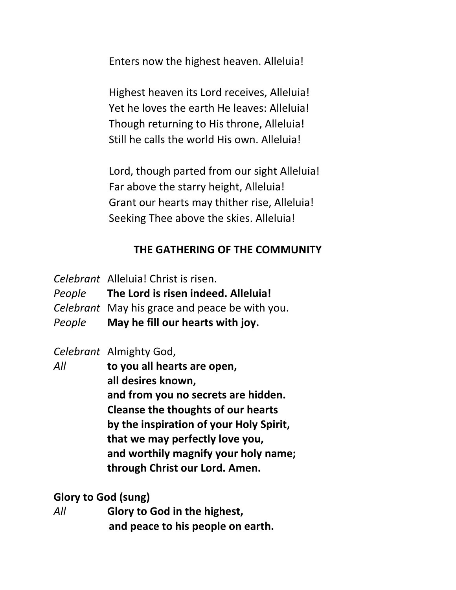Enters now the highest heaven. Alleluia!

Highest heaven its Lord receives, Alleluia! Yet he loves the earth He leaves: Alleluia! Though returning to His throne, Alleluia! Still he calls the world His own. Alleluia!

Lord, though parted from our sight Alleluia! Far above the starry height, Alleluia! Grant our hearts may thither rise, Alleluia! Seeking Thee above the skies. Alleluia!

#### **THE GATHERING OF THE COMMUNITY**

*Celebrant* Alleluia! Christ is risen.

*People* **The Lord is risen indeed. Alleluia!**

- *Celebrant* May his grace and peace be with you.
- *People* **May he fill our hearts with joy.**

*Celebrant* Almighty God,

*All* **to you all hearts are open, all desires known, and from you no secrets are hidden. Cleanse the thoughts of our hearts by the inspiration of your Holy Spirit, that we may perfectly love you, and worthily magnify your holy name; through Christ our Lord. Amen.**

#### **Glory to God (sung)**

*All* **Glory to God in the highest, and peace to his people on earth.**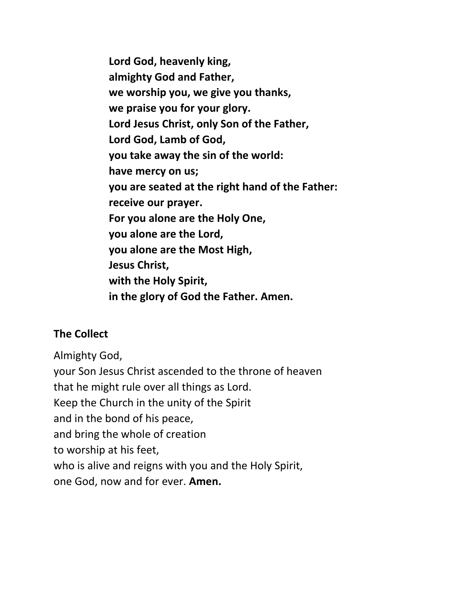**Lord God, heavenly king, almighty God and Father, we worship you, we give you thanks, we praise you for your glory. Lord Jesus Christ, only Son of the Father, Lord God, Lamb of God, you take away the sin of the world: have mercy on us; you are seated at the right hand of the Father: receive our prayer. For you alone are the Holy One, you alone are the Lord, you alone are the Most High, Jesus Christ, with the Holy Spirit, in the glory of God the Father. Amen.**

#### **The Collect**

Almighty God, your Son Jesus Christ ascended to the throne of heaven that he might rule over all things as Lord. Keep the Church in the unity of the Spirit and in the bond of his peace, and bring the whole of creation to worship at his feet, who is alive and reigns with you and the Holy Spirit, one God, now and for ever. **Amen.**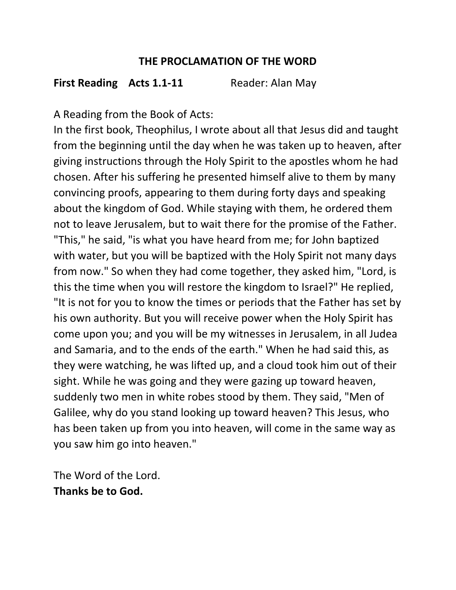#### **THE PROCLAMATION OF THE WORD**

#### **First Reading Acts 1.1-11** Reader: Alan May

A Reading from the Book of Acts:

In the first book, Theophilus, I wrote about all that Jesus did and taught from the beginning until the day when he was taken up to heaven, after giving instructions through the Holy Spirit to the apostles whom he had chosen. After his suffering he presented himself alive to them by many convincing proofs, appearing to them during forty days and speaking about the kingdom of God. While staying with them, he ordered them not to leave Jerusalem, but to wait there for the promise of the Father. "This," he said, "is what you have heard from me; for John baptized with water, but you will be baptized with the Holy Spirit not many days from now." So when they had come together, they asked him, "Lord, is this the time when you will restore the kingdom to Israel?" He replied, "It is not for you to know the times or periods that the Father has set by his own authority. But you will receive power when the Holy Spirit has come upon you; and you will be my witnesses in Jerusalem, in all Judea and Samaria, and to the ends of the earth." When he had said this, as they were watching, he was lifted up, and a cloud took him out of their sight. While he was going and they were gazing up toward heaven, suddenly two men in white robes stood by them. They said, "Men of Galilee, why do you stand looking up toward heaven? This Jesus, who has been taken up from you into heaven, will come in the same way as you saw him go into heaven."

The Word of the Lord. **Thanks be to God.**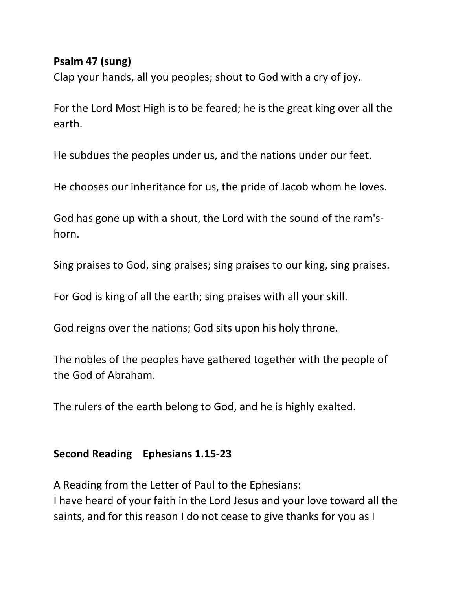#### **Psalm 47 (sung)**

Clap your hands, all you peoples; shout to God with a cry of joy.

For the Lord Most High is to be feared; he is the great king over all the earth.

He subdues the peoples under us, and the nations under our feet.

He chooses our inheritance for us, the pride of Jacob whom he loves.

God has gone up with a shout, the Lord with the sound of the ram'shorn.

Sing praises to God, sing praises; sing praises to our king, sing praises.

For God is king of all the earth; sing praises with all your skill.

God reigns over the nations; God sits upon his holy throne.

The nobles of the peoples have gathered together with the people of the God of Abraham.

The rulers of the earth belong to God, and he is highly exalted.

#### **Second Reading Ephesians 1.15-23**

A Reading from the Letter of Paul to the Ephesians: I have heard of your faith in the Lord Jesus and your love toward all the saints, and for this reason I do not cease to give thanks for you as I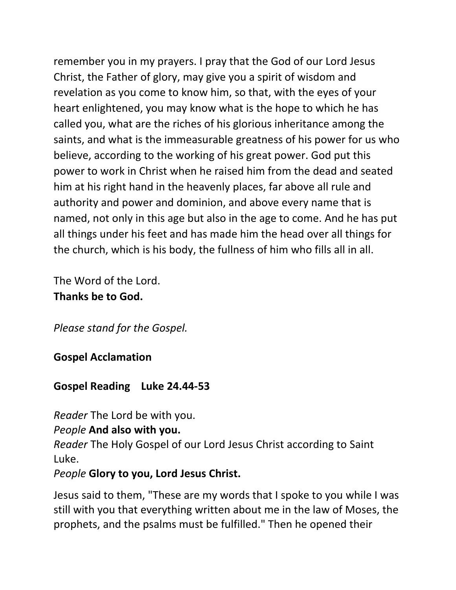remember you in my prayers. I pray that the God of our Lord Jesus Christ, the Father of glory, may give you a spirit of wisdom and revelation as you come to know him, so that, with the eyes of your heart enlightened, you may know what is the hope to which he has called you, what are the riches of his glorious inheritance among the saints, and what is the immeasurable greatness of his power for us who believe, according to the working of his great power. God put this power to work in Christ when he raised him from the dead and seated him at his right hand in the heavenly places, far above all rule and authority and power and dominion, and above every name that is named, not only in this age but also in the age to come. And he has put all things under his feet and has made him the head over all things for the church, which is his body, the fullness of him who fills all in all.

The Word of the Lord. **Thanks be to God.**

*Please stand for the Gospel.* 

#### **Gospel Acclamation**

#### **Gospel Reading Luke 24.44-53**

*Reader* The Lord be with you.

#### *People* **And also with you.**

*Reader* The Holy Gospel of our Lord Jesus Christ according to Saint Luke.

#### *People* **Glory to you, Lord Jesus Christ.**

Jesus said to them, "These are my words that I spoke to you while I was still with you that everything written about me in the law of Moses, the prophets, and the psalms must be fulfilled." Then he opened their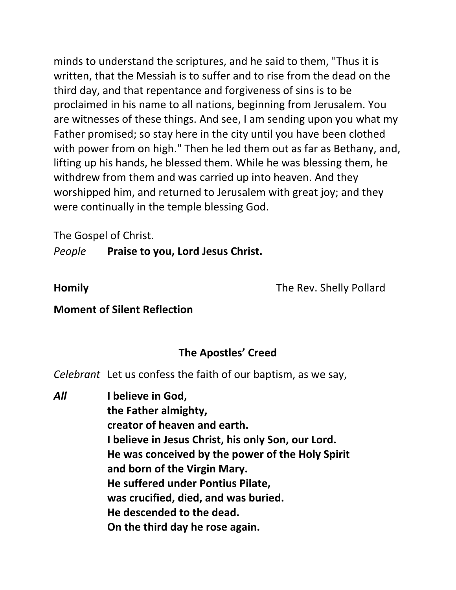minds to understand the scriptures, and he said to them, "Thus it is written, that the Messiah is to suffer and to rise from the dead on the third day, and that repentance and forgiveness of sins is to be proclaimed in his name to all nations, beginning from Jerusalem. You are witnesses of these things. And see, I am sending upon you what my Father promised; so stay here in the city until you have been clothed with power from on high." Then he led them out as far as Bethany, and, lifting up his hands, he blessed them. While he was blessing them, he withdrew from them and was carried up into heaven. And they worshipped him, and returned to Jerusalem with great joy; and they were continually in the temple blessing God.

The Gospel of Christ.

*People* **Praise to you, Lord Jesus Christ.**

**Homily** The Rev. Shelly Pollard

#### **Moment of Silent Reflection**

#### **The Apostles' Creed**

*Celebrant* Let us confess the faith of our baptism, as we say,

*All* **I believe in God, the Father almighty, creator of heaven and earth. I believe in Jesus Christ, his only Son, our Lord. He was conceived by the power of the Holy Spirit and born of the Virgin Mary. He suffered under Pontius Pilate, was crucified, died, and was buried. He descended to the dead. On the third day he rose again.**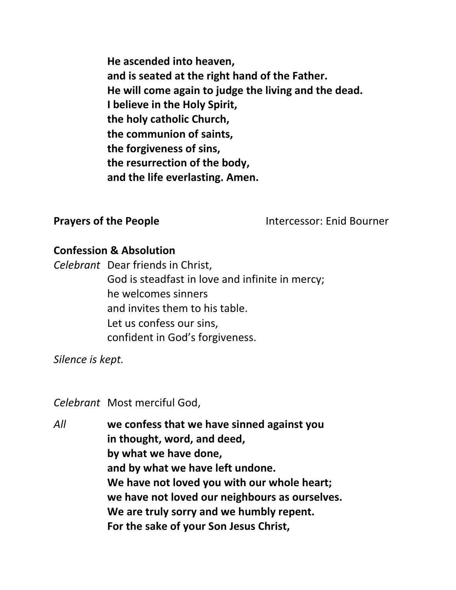**He ascended into heaven, and is seated at the right hand of the Father. He will come again to judge the living and the dead. I believe in the Holy Spirit, the holy catholic Church, the communion of saints, the forgiveness of sins, the resurrection of the body, and the life everlasting. Amen.**

**Prayers of the People Intercessor: Enid Bourner** 

#### **Confession & Absolution**

*Celebrant* Dear friends in Christ, God is steadfast in love and infinite in mercy; he welcomes sinners and invites them to his table. Let us confess our sins, confident in God's forgiveness.

*Silence is kept.* 

*Celebrant* Most merciful God,

*All* **we confess that we have sinned against you in thought, word, and deed, by what we have done, and by what we have left undone. We have not loved you with our whole heart; we have not loved our neighbours as ourselves. We are truly sorry and we humbly repent. For the sake of your Son Jesus Christ,**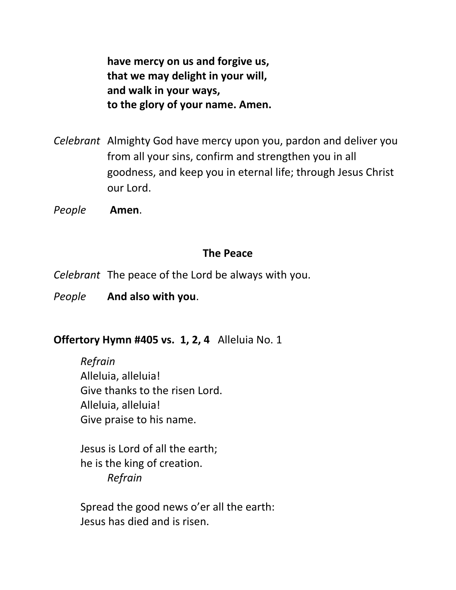**have mercy on us and forgive us, that we may delight in your will, and walk in your ways, to the glory of your name. Amen.**

*Celebrant* Almighty God have mercy upon you, pardon and deliver you from all your sins, confirm and strengthen you in all goodness, and keep you in eternal life; through Jesus Christ our Lord.

*People* **Amen**.

#### **The Peace**

- *Celebrant* The peace of the Lord be always with you.
- *People* **And also with you**.

#### **Offertory Hymn #405 vs. 1, 2, 4** Alleluia No. 1

*Refrain* Alleluia, alleluia! Give thanks to the risen Lord. Alleluia, alleluia! Give praise to his name.

Jesus is Lord of all the earth; he is the king of creation. *Refrain*

Spread the good news o'er all the earth: Jesus has died and is risen.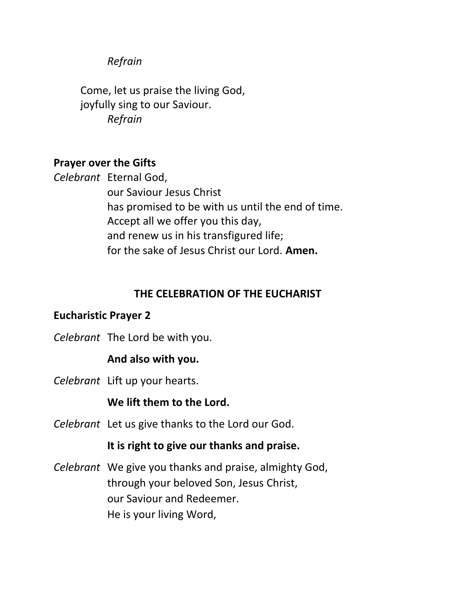#### *Refrain*

Come, let us praise the living God, joyfully sing to our Saviour. *Refrain*

#### **Prayer over the Gifts**

*Celebrant* Eternal God,

our Saviour Jesus Christ has promised to be with us until the end of time. Accept all we offer you this day, and renew us in his transfigured life; for the sake of Jesus Christ our Lord. **Amen.**

#### **THE CELEBRATION OF THE EUCHARIST**

#### **Eucharistic Prayer 2**

*Celebrant* The Lord be with you.

#### **And also with you.**

*Celebrant* Lift up your hearts.

**We lift them to the Lord.** 

*Celebrant* Let us give thanks to the Lord our God.

#### **It is right to give our thanks and praise.**

*Celebrant* We give you thanks and praise, almighty God, through your beloved Son, Jesus Christ, our Saviour and Redeemer. He is your living Word,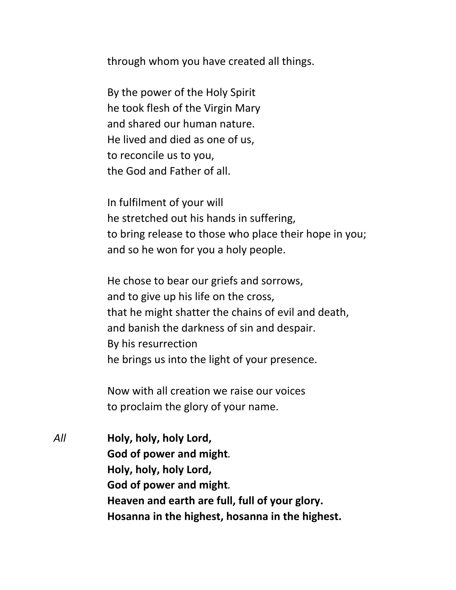through whom you have created all things.

By the power of the Holy Spirit he took flesh of the Virgin Mary and shared our human nature. He lived and died as one of us, to reconcile us to you, the God and Father of all.

In fulfilment of your will he stretched out his hands in suffering, to bring release to those who place their hope in you; and so he won for you a holy people.

He chose to bear our griefs and sorrows, and to give up his life on the cross, that he might shatter the chains of evil and death, and banish the darkness of sin and despair. By his resurrection he brings us into the light of your presence.

Now with all creation we raise our voices to proclaim the glory of your name.

*All* **Holy, holy, holy Lord, God of power and might***.* **Holy, holy, holy Lord, God of power and might***.* **Heaven and earth are full, full of your glory. Hosanna in the highest, hosanna in the highest.**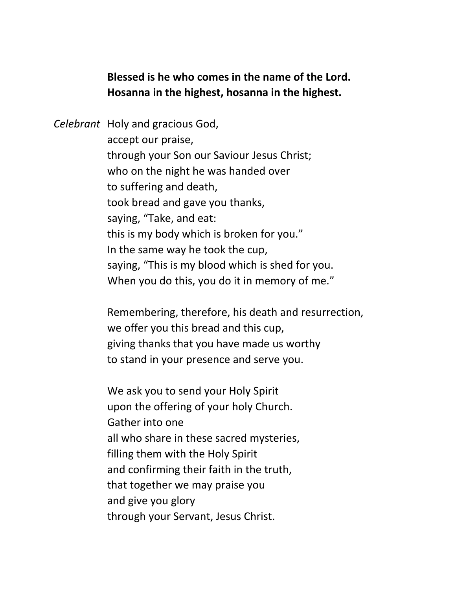**Blessed is he who comes in the name of the Lord. Hosanna in the highest, hosanna in the highest.**

*Celebrant* Holy and gracious God, accept our praise, through your Son our Saviour Jesus Christ; who on the night he was handed over to suffering and death, took bread and gave you thanks, saying, "Take, and eat: this is my body which is broken for you." In the same way he took the cup, saying, "This is my blood which is shed for you. When you do this, you do it in memory of me."

> Remembering, therefore, his death and resurrection, we offer you this bread and this cup, giving thanks that you have made us worthy to stand in your presence and serve you.

We ask you to send your Holy Spirit upon the offering of your holy Church. Gather into one all who share in these sacred mysteries, filling them with the Holy Spirit and confirming their faith in the truth, that together we may praise you and give you glory through your Servant, Jesus Christ.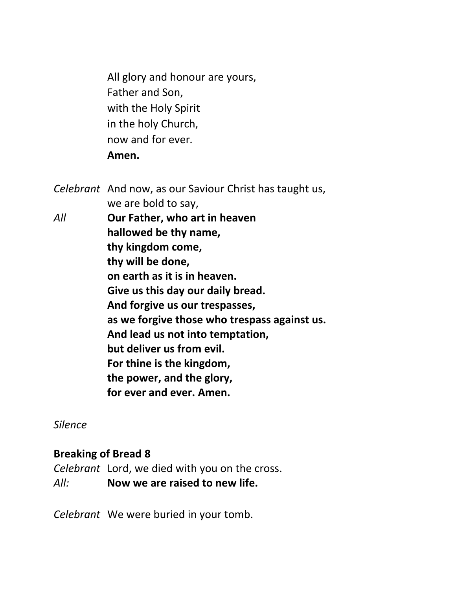All glory and honour are yours, Father and Son, with the Holy Spirit in the holy Church, now and for ever*.* **Amen.**

*Celebrant* And now, as our Saviour Christ has taught us, we are bold to say, *All* **Our Father, who art in heaven hallowed be thy name, thy kingdom come, thy will be done, on earth as it is in heaven. Give us this day our daily bread. And forgive us our trespasses, as we forgive those who trespass against us. And lead us not into temptation, but deliver us from evil. For thine is the kingdom, the power, and the glory, for ever and ever. Amen.** 

*Silence* 

#### **Breaking of Bread 8**

*Celebrant* Lord, we died with you on the cross. *All:* **Now we are raised to new life.**

*Celebrant* We were buried in your tomb.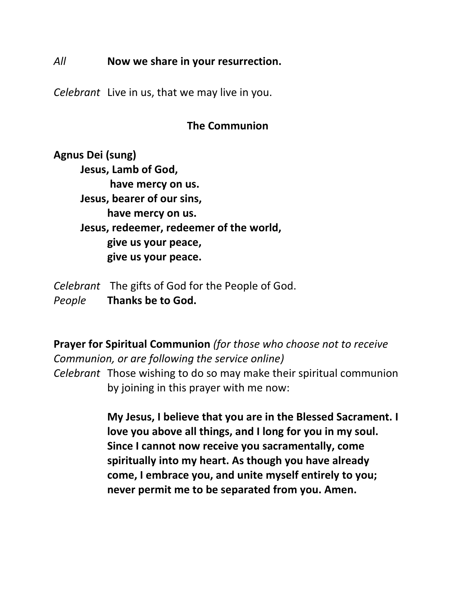#### *All* **Now we share in your resurrection.**

*Celebrant* Live in us, that we may live in you.

#### **The Communion**

**Agnus Dei (sung) Jesus, Lamb of God, have mercy on us. Jesus, bearer of our sins, have mercy on us. Jesus, redeemer, redeemer of the world, give us your peace, give us your peace.** 

*Celebrant* The gifts of God for the People of God. *People* **Thanks be to God.**

**Prayer for Spiritual Communion** *(for those who choose not to receive Communion, or are following the service online) Celebrant* Those wishing to do so may make their spiritual communion by joining in this prayer with me now:

> **My Jesus, I believe that you are in the Blessed Sacrament. I love you above all things, and I long for you in my soul. Since I cannot now receive you sacramentally, come spiritually into my heart. As though you have already come, I embrace you, and unite myself entirely to you; never permit me to be separated from you. Amen.**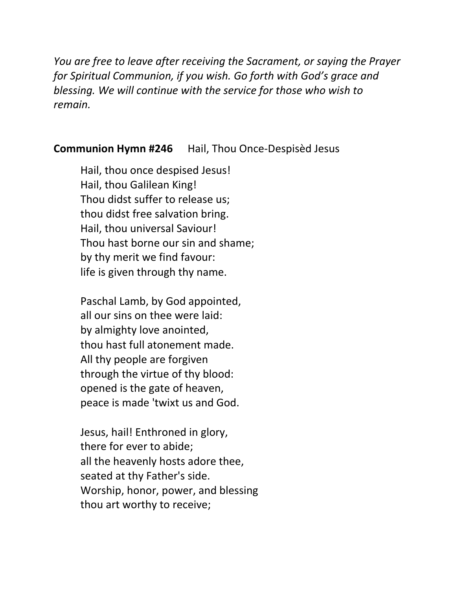*You are free to leave after receiving the Sacrament, or saying the Prayer for Spiritual Communion, if you wish. Go forth with God's grace and blessing. We will continue with the service for those who wish to remain.*

#### **Communion Hymn #246** Hail, Thou Once-Despisèd Jesus

Hail, thou once despised Jesus! Hail, thou Galilean King! Thou didst suffer to release us; thou didst free salvation bring. Hail, thou universal Saviour! Thou hast borne our sin and shame; by thy merit we find favour: life is given through thy name.

Paschal Lamb, by God appointed, all our sins on thee were laid: by almighty love anointed, thou hast full atonement made. All thy people are forgiven through the virtue of thy blood: opened is the gate of heaven, peace is made 'twixt us and God.

Jesus, hail! Enthroned in glory, there for ever to abide; all the heavenly hosts adore thee, seated at thy Father's side. Worship, honor, power, and blessing thou art worthy to receive;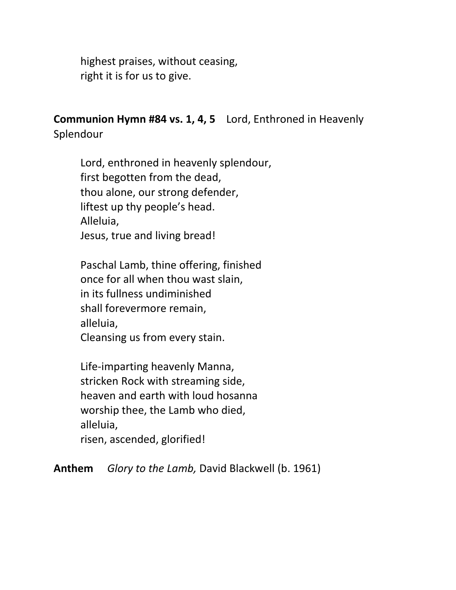highest praises, without ceasing, right it is for us to give.

**Communion Hymn #84 vs. 1, 4, 5** Lord, Enthroned in Heavenly Splendour

Lord, enthroned in heavenly splendour, first begotten from the dead, thou alone, our strong defender, liftest up thy people's head. Alleluia, Jesus, true and living bread!

Paschal Lamb, thine offering, finished once for all when thou wast slain, in its fullness undiminished shall forevermore remain, alleluia, Cleansing us from every stain.

Life-imparting heavenly Manna, stricken Rock with streaming side, heaven and earth with loud hosanna worship thee, the Lamb who died, alleluia, risen, ascended, glorified!

**Anthem** *Glory to the Lamb,* David Blackwell (b. 1961)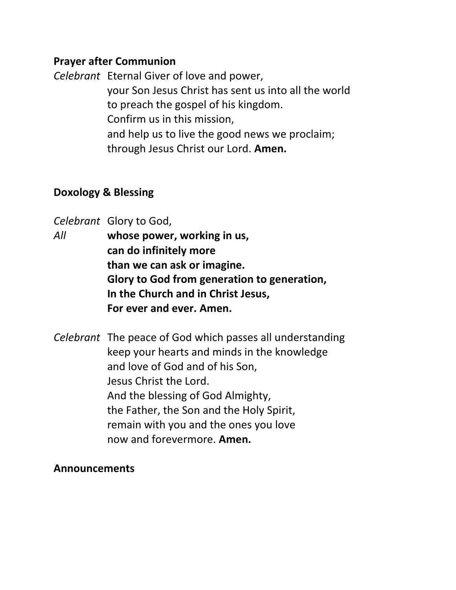#### **Prayer after Communion**

*Celebrant* Eternal Giver of love and power,

your Son Jesus Christ has sent us into all the world to preach the gospel of his kingdom. Confirm us in this mission, and help us to live the good news we proclaim; through Jesus Christ our Lord. **Amen.**

#### **Doxology & Blessing**

*Celebrant* Glory to God,

*All* **whose power, working in us, can do infinitely more than we can ask or imagine. Glory to God from generation to generation, In the Church and in Christ Jesus, For ever and ever. Amen.**

*Celebrant* The peace of God which passes all understanding keep your hearts and minds in the knowledge and love of God and of his Son, Jesus Christ the Lord. And the blessing of God Almighty, the Father, the Son and the Holy Spirit, remain with you and the ones you love now and forevermore. **Amen.**

#### **Announcements**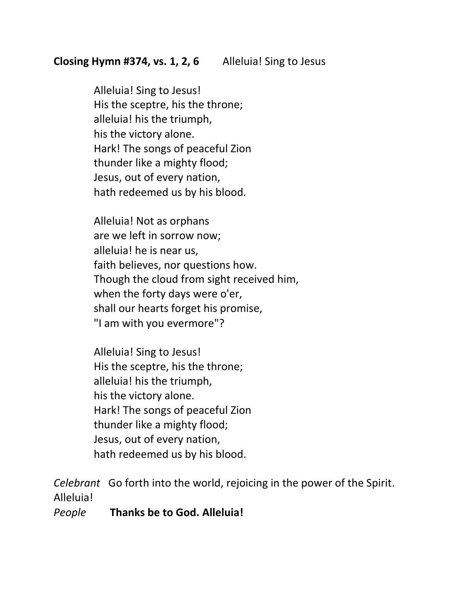Alleluia! Sing to Jesus! His the sceptre, his the throne; alleluia! his the triumph, his the victory alone. Hark! The songs of peaceful Zion thunder like a mighty flood; Jesus, out of every nation, hath redeemed us by his blood.

Alleluia! Not as orphans are we left in sorrow now; alleluia! he is near us, faith believes, nor questions how. Though the cloud from sight received him, when the forty days were o'er, shall our hearts forget his promise, "I am with you evermore"?

Alleluia! Sing to Jesus! His the sceptre, his the throne; alleluia! his the triumph, his the victory alone. Hark! The songs of peaceful Zion thunder like a mighty flood; Jesus, out of every nation, hath redeemed us by his blood.

*Celebrant* Go forth into the world, rejoicing in the power of the Spirit. Alleluia!

*People* **Thanks be to God. Alleluia!**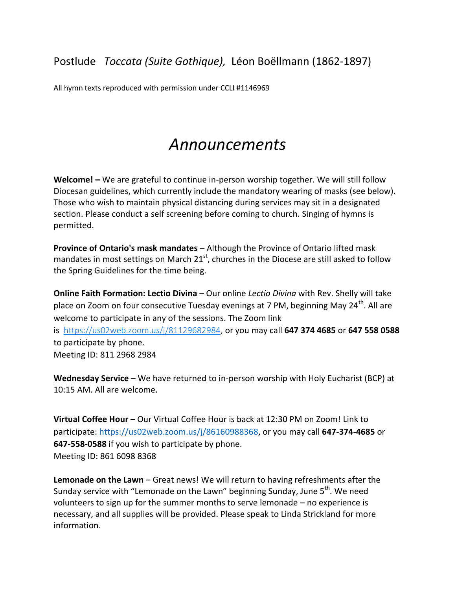All hymn texts reproduced with permission under CCLI #1146969

## *Announcements*

**Welcome! –** We are grateful to continue in-person worship together. We will still follow Diocesan guidelines, which currently include the mandatory wearing of masks (see below). Those who wish to maintain physical distancing during services may sit in a designated section. Please conduct a self screening before coming to church. Singing of hymns is permitted.

**Province of Ontario's mask mandates** – Although the Province of Ontario lifted mask mandates in most settings on March  $21<sup>st</sup>$ , churches in the Diocese are still asked to follow the Spring Guidelines for the time being.

**Online Faith Formation: Lectio Divina** – Our online *Lectio Divina* with Rev. Shelly will take place on Zoom on four consecutive Tuesday evenings at 7 PM, beginning May 24<sup>th</sup>. All are welcome to participate in any of the sessions. The Zoom link is [https://us02web.zoom.us/j/81129682984,](https://us02web.zoom.us/j/81129682984) or you may call **647 374 4685** or **647 558 0588** to participate by phone. Meeting ID: 811 2968 2984

**Wednesday Service** – We have returned to in-person worship with Holy Eucharist (BCP) at 10:15 AM. All are welcome.

**Virtual Coffee Hour** – Our Virtual Coffee Hour is back at 12:30 PM on Zoom! Link to participate: [https://us02web.zoom.us/j/86160988368,](about:blank) or you may call **647-374-4685** or **647-558-0588** if you wish to participate by phone. Meeting ID: 861 6098 8368

**Lemonade on the Lawn** – Great news! We will return to having refreshments after the Sunday service with "Lemonade on the Lawn" beginning Sunday, June 5<sup>th</sup>. We need volunteers to sign up for the summer months to serve lemonade – no experience is necessary, and all supplies will be provided. Please speak to Linda Strickland for more information.